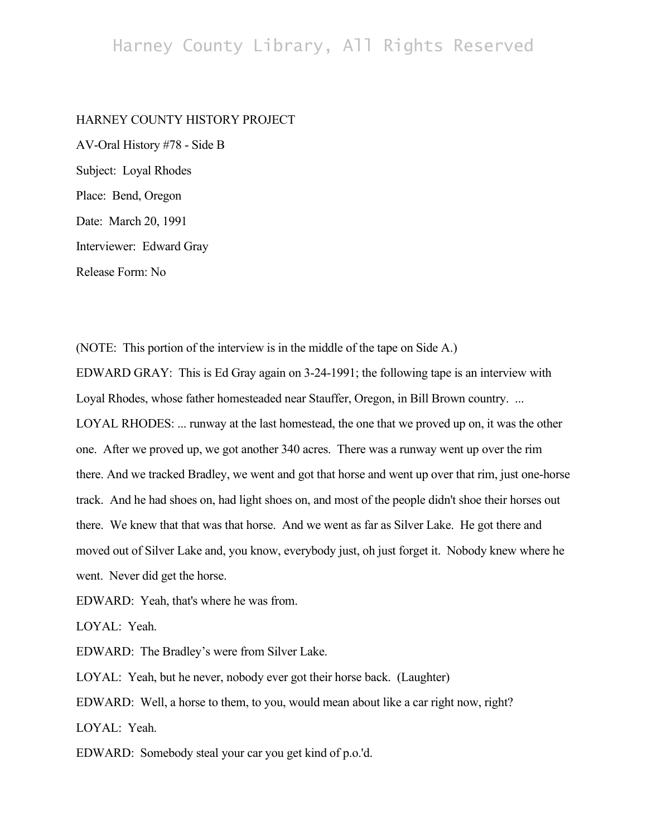## HARNEY COUNTY HISTORY PROJECT

AV-Oral History #78 - Side B Subject: Loyal Rhodes Place: Bend, Oregon Date: March 20, 1991 Interviewer: Edward Gray Release Form: No

(NOTE: This portion of the interview is in the middle of the tape on Side A.) EDWARD GRAY: This is Ed Gray again on 3-24-1991; the following tape is an interview with

Loyal Rhodes, whose father homesteaded near Stauffer, Oregon, in Bill Brown country. ... LOYAL RHODES: ... runway at the last homestead, the one that we proved up on, it was the other one. After we proved up, we got another 340 acres. There was a runway went up over the rim there. And we tracked Bradley, we went and got that horse and went up over that rim, just one-horse track. And he had shoes on, had light shoes on, and most of the people didn't shoe their horses out there. We knew that that was that horse. And we went as far as Silver Lake. He got there and moved out of Silver Lake and, you know, everybody just, oh just forget it. Nobody knew where he went. Never did get the horse.

EDWARD: Yeah, that's where he was from.

LOYAL: Yeah.

EDWARD: The Bradley's were from Silver Lake.

LOYAL: Yeah, but he never, nobody ever got their horse back. (Laughter)

EDWARD: Well, a horse to them, to you, would mean about like a car right now, right? LOYAL: Yeah.

EDWARD: Somebody steal your car you get kind of p.o.'d.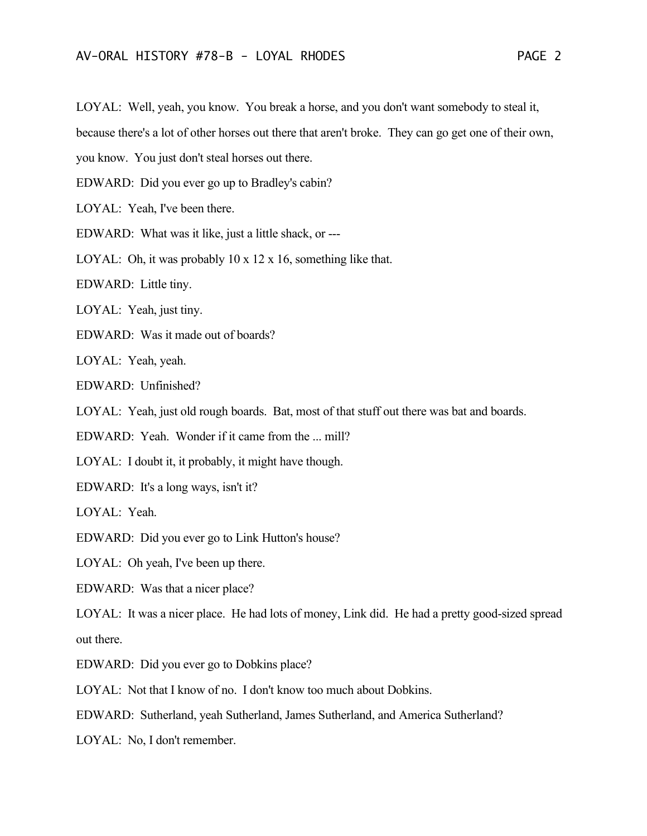LOYAL: Well, yeah, you know. You break a horse, and you don't want somebody to steal it,

because there's a lot of other horses out there that aren't broke. They can go get one of their own,

you know. You just don't steal horses out there.

EDWARD: Did you ever go up to Bradley's cabin?

LOYAL: Yeah, I've been there.

EDWARD: What was it like, just a little shack, or ---

LOYAL: Oh, it was probably 10 x 12 x 16, something like that.

EDWARD: Little tiny.

LOYAL: Yeah, just tiny.

EDWARD: Was it made out of boards?

LOYAL: Yeah, yeah.

EDWARD: Unfinished?

LOYAL: Yeah, just old rough boards. Bat, most of that stuff out there was bat and boards.

EDWARD: Yeah. Wonder if it came from the ... mill?

LOYAL: I doubt it, it probably, it might have though.

EDWARD: It's a long ways, isn't it?

LOYAL: Yeah.

EDWARD: Did you ever go to Link Hutton's house?

LOYAL: Oh yeah, I've been up there.

EDWARD: Was that a nicer place?

LOYAL: It was a nicer place. He had lots of money, Link did. He had a pretty good-sized spread out there.

EDWARD: Did you ever go to Dobkins place?

LOYAL: Not that I know of no. I don't know too much about Dobkins.

EDWARD: Sutherland, yeah Sutherland, James Sutherland, and America Sutherland?

LOYAL: No, I don't remember.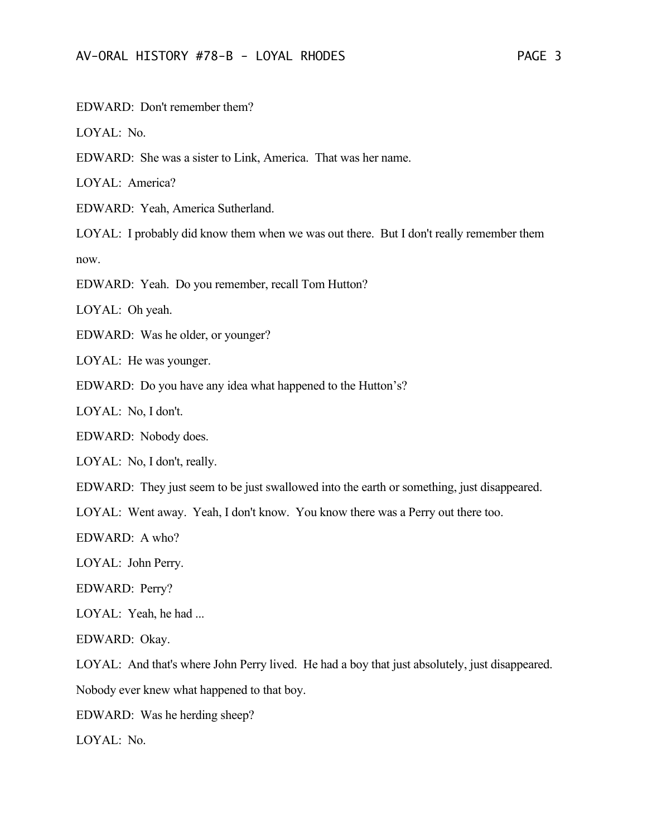EDWARD: Don't remember them?

LOYAL: No.

EDWARD: She was a sister to Link, America. That was her name.

LOYAL: America?

EDWARD: Yeah, America Sutherland.

LOYAL: I probably did know them when we was out there. But I don't really remember them now.

EDWARD: Yeah. Do you remember, recall Tom Hutton?

LOYAL: Oh yeah.

EDWARD: Was he older, or younger?

LOYAL: He was younger.

EDWARD: Do you have any idea what happened to the Hutton's?

LOYAL: No, I don't.

EDWARD: Nobody does.

LOYAL: No, I don't, really.

EDWARD: They just seem to be just swallowed into the earth or something, just disappeared.

LOYAL: Went away. Yeah, I don't know. You know there was a Perry out there too.

EDWARD: A who?

LOYAL: John Perry.

EDWARD: Perry?

LOYAL: Yeah, he had ...

EDWARD: Okay.

LOYAL: And that's where John Perry lived. He had a boy that just absolutely, just disappeared. Nobody ever knew what happened to that boy.

EDWARD: Was he herding sheep?

LOYAL: No.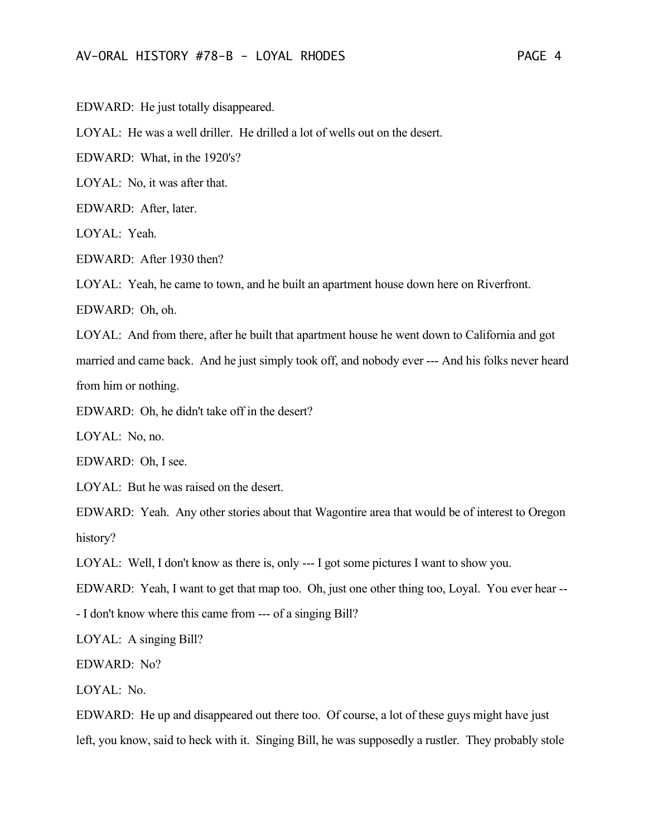EDWARD: He just totally disappeared.

LOYAL: He was a well driller. He drilled a lot of wells out on the desert.

EDWARD: What, in the 1920's?

LOYAL: No, it was after that.

EDWARD: After, later.

LOYAL: Yeah.

EDWARD: After 1930 then?

LOYAL: Yeah, he came to town, and he built an apartment house down here on Riverfront.

EDWARD: Oh, oh.

LOYAL: And from there, after he built that apartment house he went down to California and got married and came back. And he just simply took off, and nobody ever --- And his folks never heard from him or nothing.

EDWARD: Oh, he didn't take off in the desert?

LOYAL: No, no.

EDWARD: Oh, I see.

LOYAL: But he was raised on the desert.

EDWARD: Yeah. Any other stories about that Wagontire area that would be of interest to Oregon history?

LOYAL: Well, I don't know as there is, only --- I got some pictures I want to show you.

EDWARD: Yeah, I want to get that map too. Oh, just one other thing too, Loyal. You ever hear --

- I don't know where this came from --- of a singing Bill?

LOYAL: A singing Bill?

EDWARD: No?

LOYAL: No.

EDWARD: He up and disappeared out there too. Of course, a lot of these guys might have just left, you know, said to heck with it. Singing Bill, he was supposedly a rustler. They probably stole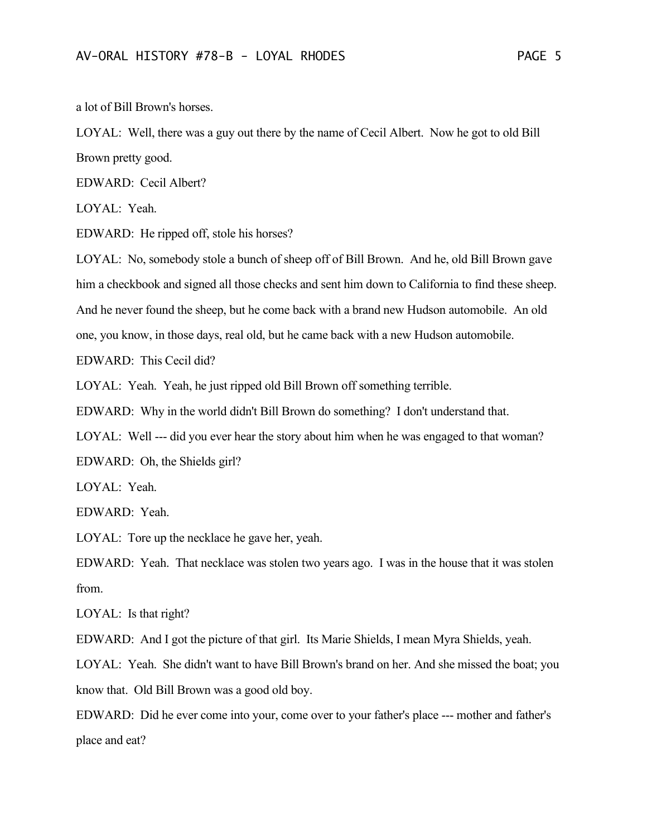a lot of Bill Brown's horses.

LOYAL: Well, there was a guy out there by the name of Cecil Albert. Now he got to old Bill Brown pretty good.

EDWARD: Cecil Albert?

LOYAL: Yeah.

EDWARD: He ripped off, stole his horses?

LOYAL: No, somebody stole a bunch of sheep off of Bill Brown. And he, old Bill Brown gave him a checkbook and signed all those checks and sent him down to California to find these sheep. And he never found the sheep, but he come back with a brand new Hudson automobile. An old one, you know, in those days, real old, but he came back with a new Hudson automobile.

EDWARD: This Cecil did?

LOYAL: Yeah. Yeah, he just ripped old Bill Brown off something terrible.

EDWARD: Why in the world didn't Bill Brown do something? I don't understand that.

LOYAL: Well --- did you ever hear the story about him when he was engaged to that woman?

EDWARD: Oh, the Shields girl?

LOYAL: Yeah.

EDWARD: Yeah.

LOYAL: Tore up the necklace he gave her, yeah.

EDWARD: Yeah. That necklace was stolen two years ago. I was in the house that it was stolen from.

LOYAL: Is that right?

EDWARD: And I got the picture of that girl. Its Marie Shields, I mean Myra Shields, yeah.

LOYAL: Yeah. She didn't want to have Bill Brown's brand on her. And she missed the boat; you know that. Old Bill Brown was a good old boy.

EDWARD: Did he ever come into your, come over to your father's place --- mother and father's place and eat?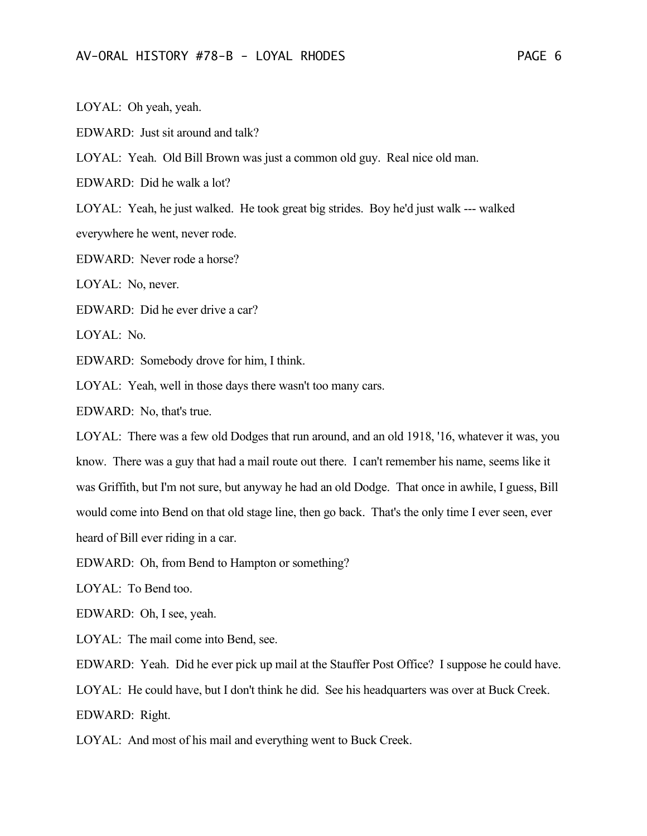LOYAL: Oh yeah, yeah.

EDWARD: Just sit around and talk?

LOYAL: Yeah. Old Bill Brown was just a common old guy. Real nice old man.

EDWARD: Did he walk a lot?

LOYAL: Yeah, he just walked. He took great big strides. Boy he'd just walk --- walked everywhere he went, never rode.

EDWARD: Never rode a horse?

LOYAL: No, never.

EDWARD: Did he ever drive a car?

LOYAL: No.

EDWARD: Somebody drove for him, I think.

LOYAL: Yeah, well in those days there wasn't too many cars.

EDWARD: No, that's true.

LOYAL: There was a few old Dodges that run around, and an old 1918, '16, whatever it was, you know. There was a guy that had a mail route out there. I can't remember his name, seems like it was Griffith, but I'm not sure, but anyway he had an old Dodge. That once in awhile, I guess, Bill would come into Bend on that old stage line, then go back. That's the only time I ever seen, ever heard of Bill ever riding in a car.

EDWARD: Oh, from Bend to Hampton or something?

LOYAL: To Bend too.

EDWARD: Oh, I see, yeah.

LOYAL: The mail come into Bend, see.

EDWARD: Yeah. Did he ever pick up mail at the Stauffer Post Office? I suppose he could have.

LOYAL: He could have, but I don't think he did. See his headquarters was over at Buck Creek.

EDWARD: Right.

LOYAL: And most of his mail and everything went to Buck Creek.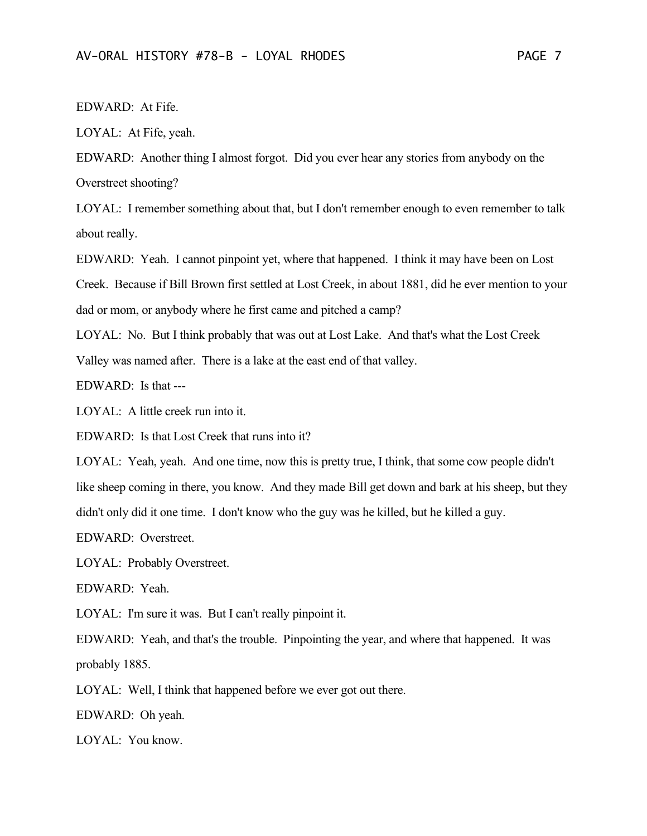EDWARD: At Fife.

LOYAL: At Fife, yeah.

EDWARD: Another thing I almost forgot. Did you ever hear any stories from anybody on the Overstreet shooting?

LOYAL: I remember something about that, but I don't remember enough to even remember to talk about really.

EDWARD: Yeah. I cannot pinpoint yet, where that happened. I think it may have been on Lost Creek. Because if Bill Brown first settled at Lost Creek, in about 1881, did he ever mention to your dad or mom, or anybody where he first came and pitched a camp?

LOYAL: No. But I think probably that was out at Lost Lake. And that's what the Lost Creek Valley was named after. There is a lake at the east end of that valley.

EDWARD: Is that ---

LOYAL: A little creek run into it.

EDWARD: Is that Lost Creek that runs into it?

LOYAL: Yeah, yeah. And one time, now this is pretty true, I think, that some cow people didn't like sheep coming in there, you know. And they made Bill get down and bark at his sheep, but they didn't only did it one time. I don't know who the guy was he killed, but he killed a guy.

EDWARD: Overstreet.

LOYAL: Probably Overstreet.

EDWARD: Yeah.

LOYAL: I'm sure it was. But I can't really pinpoint it.

EDWARD: Yeah, and that's the trouble. Pinpointing the year, and where that happened. It was probably 1885.

LOYAL: Well, I think that happened before we ever got out there.

EDWARD: Oh yeah.

LOYAL: You know.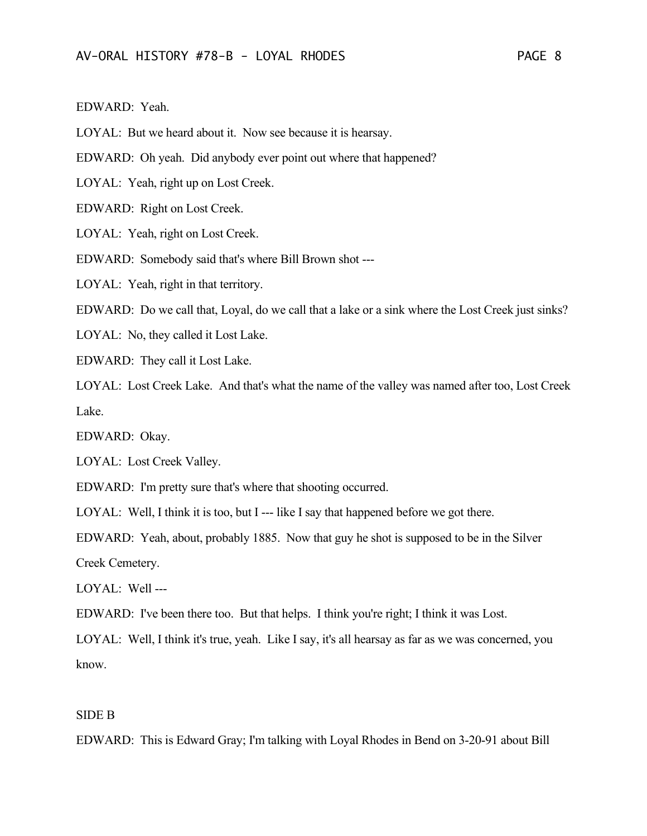EDWARD: Yeah.

LOYAL: But we heard about it. Now see because it is hearsay.

EDWARD: Oh yeah. Did anybody ever point out where that happened?

LOYAL: Yeah, right up on Lost Creek.

EDWARD: Right on Lost Creek.

LOYAL: Yeah, right on Lost Creek.

EDWARD: Somebody said that's where Bill Brown shot ---

LOYAL: Yeah, right in that territory.

EDWARD: Do we call that, Loyal, do we call that a lake or a sink where the Lost Creek just sinks?

LOYAL: No, they called it Lost Lake.

EDWARD: They call it Lost Lake.

LOYAL: Lost Creek Lake. And that's what the name of the valley was named after too, Lost Creek Lake.

EDWARD: Okay.

LOYAL: Lost Creek Valley.

EDWARD: I'm pretty sure that's where that shooting occurred.

LOYAL: Well, I think it is too, but I --- like I say that happened before we got there.

EDWARD: Yeah, about, probably 1885. Now that guy he shot is supposed to be in the Silver Creek Cemetery.

LOYAL: Well ---

EDWARD: I've been there too. But that helps. I think you're right; I think it was Lost.

LOYAL: Well, I think it's true, yeah. Like I say, it's all hearsay as far as we was concerned, you know.

## SIDE B

EDWARD: This is Edward Gray; I'm talking with Loyal Rhodes in Bend on 3-20-91 about Bill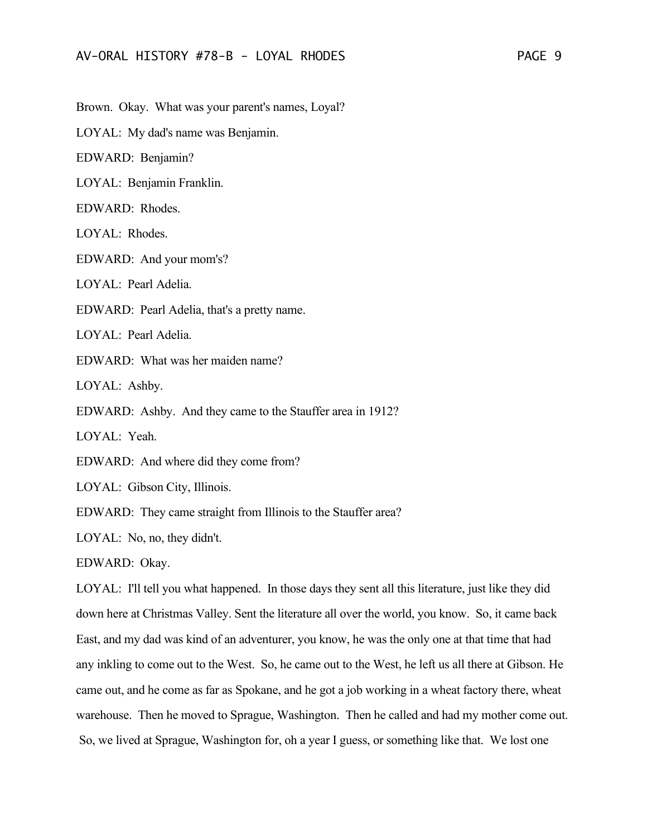Brown. Okay. What was your parent's names, Loyal?

LOYAL: My dad's name was Benjamin.

EDWARD: Benjamin?

LOYAL: Benjamin Franklin.

EDWARD: Rhodes.

LOYAL: Rhodes.

EDWARD: And your mom's?

LOYAL: Pearl Adelia.

EDWARD: Pearl Adelia, that's a pretty name.

LOYAL: Pearl Adelia.

EDWARD: What was her maiden name?

LOYAL: Ashby.

EDWARD: Ashby. And they came to the Stauffer area in 1912?

LOYAL: Yeah.

EDWARD: And where did they come from?

LOYAL: Gibson City, Illinois.

EDWARD: They came straight from Illinois to the Stauffer area?

LOYAL: No, no, they didn't.

EDWARD: Okay.

LOYAL: I'll tell you what happened. In those days they sent all this literature, just like they did down here at Christmas Valley. Sent the literature all over the world, you know. So, it came back East, and my dad was kind of an adventurer, you know, he was the only one at that time that had any inkling to come out to the West. So, he came out to the West, he left us all there at Gibson. He came out, and he come as far as Spokane, and he got a job working in a wheat factory there, wheat warehouse. Then he moved to Sprague, Washington. Then he called and had my mother come out. So, we lived at Sprague, Washington for, oh a year I guess, or something like that. We lost one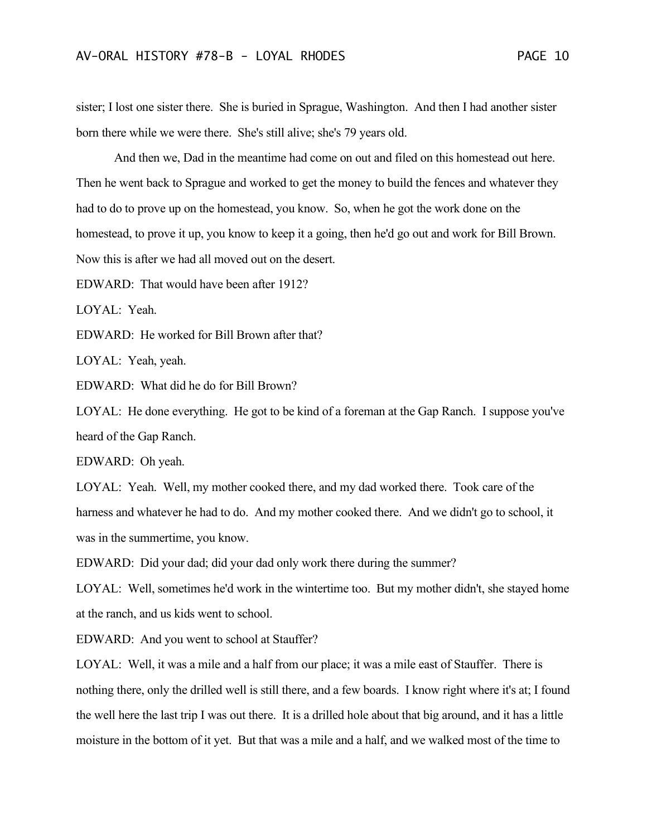sister; I lost one sister there. She is buried in Sprague, Washington. And then I had another sister born there while we were there. She's still alive; she's 79 years old.

And then we, Dad in the meantime had come on out and filed on this homestead out here. Then he went back to Sprague and worked to get the money to build the fences and whatever they had to do to prove up on the homestead, you know. So, when he got the work done on the homestead, to prove it up, you know to keep it a going, then he'd go out and work for Bill Brown. Now this is after we had all moved out on the desert.

EDWARD: That would have been after 1912?

LOYAL: Yeah.

EDWARD: He worked for Bill Brown after that?

LOYAL: Yeah, yeah.

EDWARD: What did he do for Bill Brown?

LOYAL: He done everything. He got to be kind of a foreman at the Gap Ranch. I suppose you've heard of the Gap Ranch.

EDWARD: Oh yeah.

LOYAL: Yeah. Well, my mother cooked there, and my dad worked there. Took care of the harness and whatever he had to do. And my mother cooked there. And we didn't go to school, it was in the summertime, you know.

EDWARD: Did your dad; did your dad only work there during the summer?

LOYAL: Well, sometimes he'd work in the wintertime too. But my mother didn't, she stayed home at the ranch, and us kids went to school.

EDWARD: And you went to school at Stauffer?

LOYAL: Well, it was a mile and a half from our place; it was a mile east of Stauffer. There is nothing there, only the drilled well is still there, and a few boards. I know right where it's at; I found the well here the last trip I was out there. It is a drilled hole about that big around, and it has a little moisture in the bottom of it yet. But that was a mile and a half, and we walked most of the time to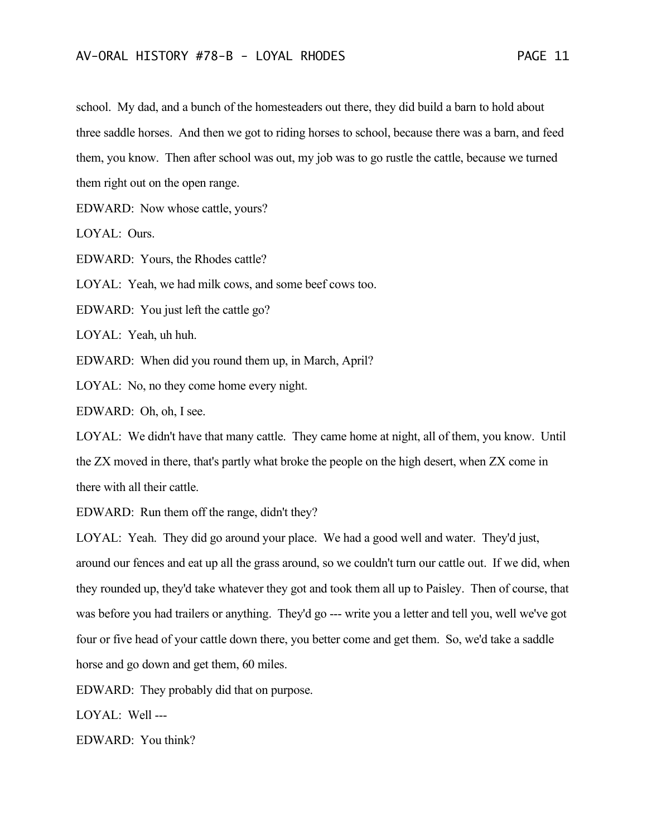school. My dad, and a bunch of the homesteaders out there, they did build a barn to hold about three saddle horses. And then we got to riding horses to school, because there was a barn, and feed them, you know. Then after school was out, my job was to go rustle the cattle, because we turned them right out on the open range.

EDWARD: Now whose cattle, yours?

LOYAL: Ours.

EDWARD: Yours, the Rhodes cattle?

LOYAL: Yeah, we had milk cows, and some beef cows too.

EDWARD: You just left the cattle go?

LOYAL: Yeah, uh huh.

EDWARD: When did you round them up, in March, April?

LOYAL: No, no they come home every night.

EDWARD: Oh, oh, I see.

LOYAL: We didn't have that many cattle. They came home at night, all of them, you know. Until the ZX moved in there, that's partly what broke the people on the high desert, when ZX come in there with all their cattle.

EDWARD: Run them off the range, didn't they?

LOYAL: Yeah. They did go around your place. We had a good well and water. They'd just, around our fences and eat up all the grass around, so we couldn't turn our cattle out. If we did, when they rounded up, they'd take whatever they got and took them all up to Paisley. Then of course, that was before you had trailers or anything. They'd go --- write you a letter and tell you, well we've got four or five head of your cattle down there, you better come and get them. So, we'd take a saddle horse and go down and get them, 60 miles.

EDWARD: They probably did that on purpose.

LOYAL: Well ---

EDWARD: You think?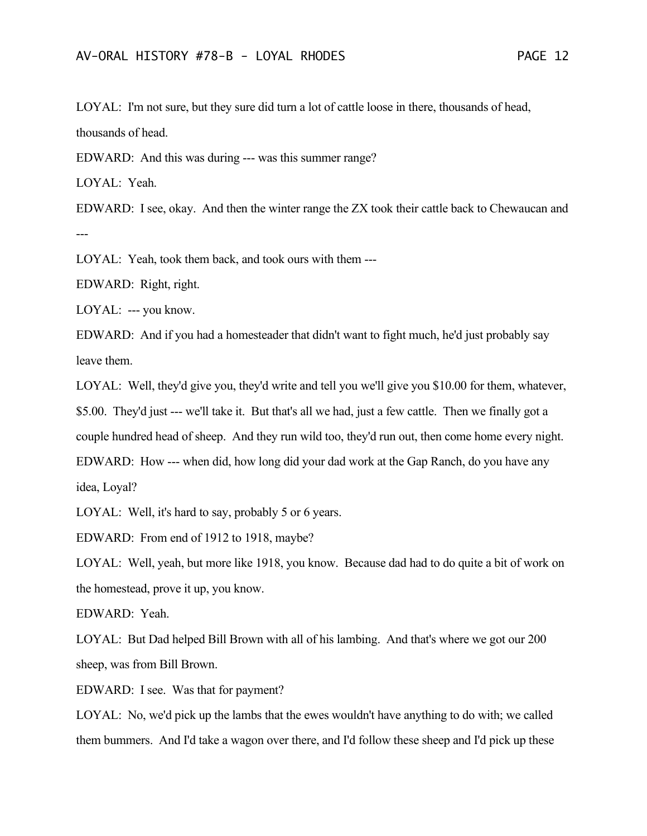LOYAL: I'm not sure, but they sure did turn a lot of cattle loose in there, thousands of head, thousands of head.

EDWARD: And this was during --- was this summer range?

LOYAL: Yeah.

EDWARD: I see, okay. And then the winter range the ZX took their cattle back to Chewaucan and ---

LOYAL: Yeah, took them back, and took ours with them ---

EDWARD: Right, right.

LOYAL: --- you know.

EDWARD: And if you had a homesteader that didn't want to fight much, he'd just probably say leave them.

LOYAL: Well, they'd give you, they'd write and tell you we'll give you \$10.00 for them, whatever, \$5.00. They'd just --- we'll take it. But that's all we had, just a few cattle. Then we finally got a couple hundred head of sheep. And they run wild too, they'd run out, then come home every night. EDWARD: How --- when did, how long did your dad work at the Gap Ranch, do you have any idea, Loyal?

LOYAL: Well, it's hard to say, probably 5 or 6 years.

EDWARD: From end of 1912 to 1918, maybe?

LOYAL: Well, yeah, but more like 1918, you know. Because dad had to do quite a bit of work on the homestead, prove it up, you know.

EDWARD: Yeah.

LOYAL: But Dad helped Bill Brown with all of his lambing. And that's where we got our 200 sheep, was from Bill Brown.

EDWARD: I see. Was that for payment?

LOYAL: No, we'd pick up the lambs that the ewes wouldn't have anything to do with; we called them bummers. And I'd take a wagon over there, and I'd follow these sheep and I'd pick up these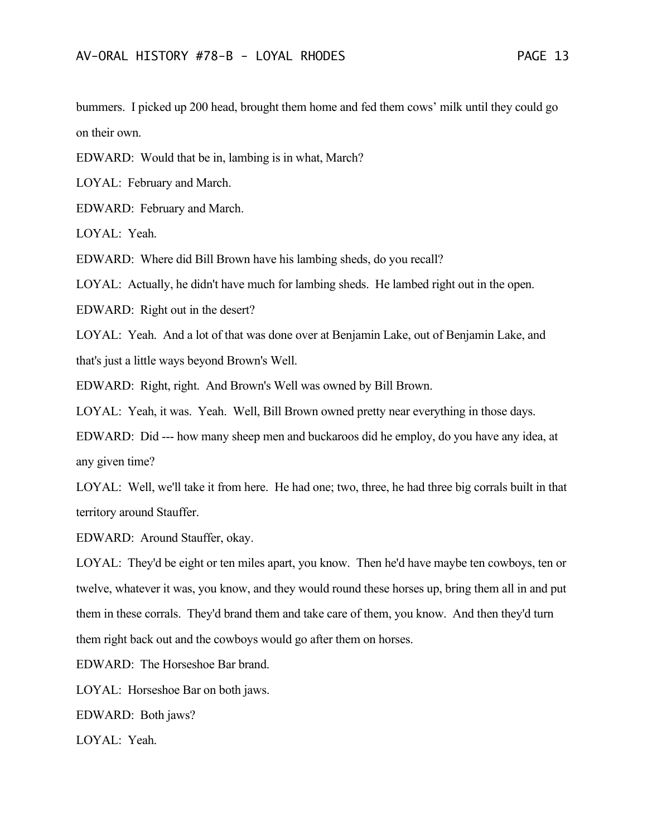bummers. I picked up 200 head, brought them home and fed them cows' milk until they could go on their own.

EDWARD: Would that be in, lambing is in what, March?

LOYAL: February and March.

EDWARD: February and March.

LOYAL: Yeah.

EDWARD: Where did Bill Brown have his lambing sheds, do you recall?

LOYAL: Actually, he didn't have much for lambing sheds. He lambed right out in the open.

EDWARD: Right out in the desert?

LOYAL: Yeah. And a lot of that was done over at Benjamin Lake, out of Benjamin Lake, and that's just a little ways beyond Brown's Well.

EDWARD: Right, right. And Brown's Well was owned by Bill Brown.

LOYAL: Yeah, it was. Yeah. Well, Bill Brown owned pretty near everything in those days.

EDWARD: Did --- how many sheep men and buckaroos did he employ, do you have any idea, at any given time?

LOYAL: Well, we'll take it from here. He had one; two, three, he had three big corrals built in that territory around Stauffer.

EDWARD: Around Stauffer, okay.

LOYAL: They'd be eight or ten miles apart, you know. Then he'd have maybe ten cowboys, ten or twelve, whatever it was, you know, and they would round these horses up, bring them all in and put them in these corrals. They'd brand them and take care of them, you know. And then they'd turn them right back out and the cowboys would go after them on horses.

EDWARD: The Horseshoe Bar brand.

LOYAL: Horseshoe Bar on both jaws.

EDWARD: Both jaws?

LOYAL: Yeah.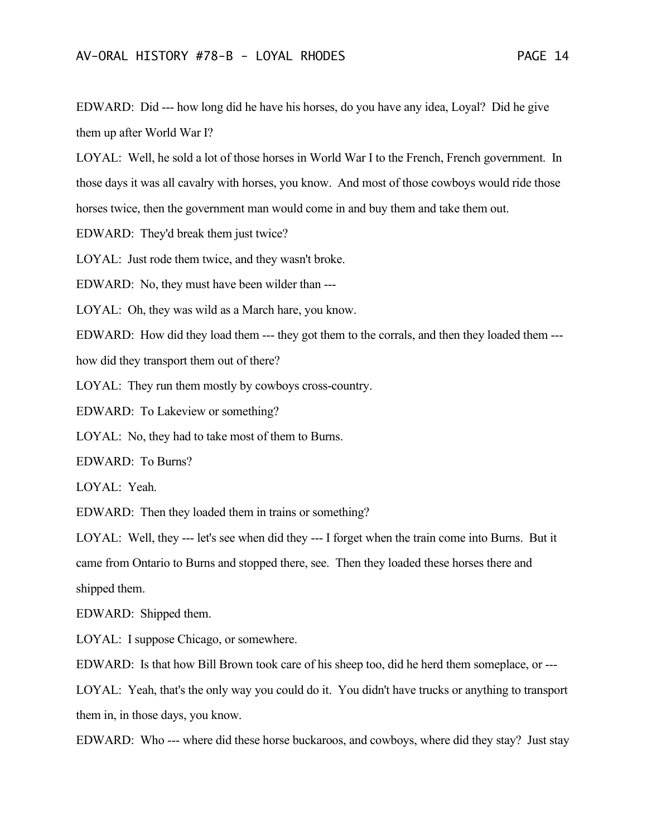EDWARD: Did --- how long did he have his horses, do you have any idea, Loyal? Did he give them up after World War I?

LOYAL: Well, he sold a lot of those horses in World War I to the French, French government. In those days it was all cavalry with horses, you know. And most of those cowboys would ride those horses twice, then the government man would come in and buy them and take them out.

EDWARD: They'd break them just twice?

LOYAL: Just rode them twice, and they wasn't broke.

EDWARD: No, they must have been wilder than ---

LOYAL: Oh, they was wild as a March hare, you know.

EDWARD: How did they load them --- they got them to the corrals, and then they loaded them ---

how did they transport them out of there?

LOYAL: They run them mostly by cowboys cross-country.

EDWARD: To Lakeview or something?

LOYAL: No, they had to take most of them to Burns.

EDWARD: To Burns?

LOYAL: Yeah.

EDWARD: Then they loaded them in trains or something?

LOYAL: Well, they --- let's see when did they --- I forget when the train come into Burns. But it came from Ontario to Burns and stopped there, see. Then they loaded these horses there and shipped them.

EDWARD: Shipped them.

LOYAL: I suppose Chicago, or somewhere.

EDWARD: Is that how Bill Brown took care of his sheep too, did he herd them someplace, or ---

LOYAL: Yeah, that's the only way you could do it. You didn't have trucks or anything to transport them in, in those days, you know.

EDWARD: Who --- where did these horse buckaroos, and cowboys, where did they stay? Just stay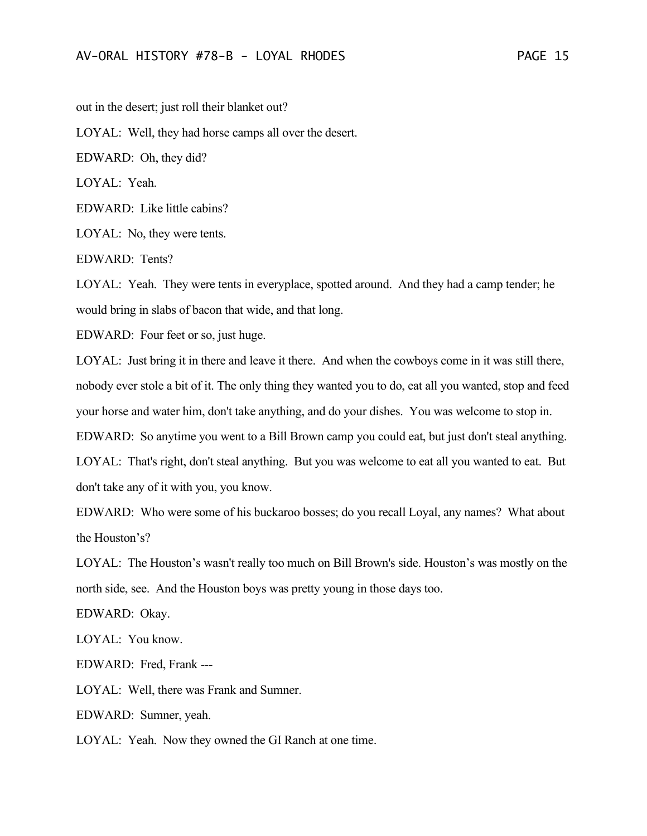out in the desert; just roll their blanket out?

LOYAL: Well, they had horse camps all over the desert.

EDWARD: Oh, they did?

LOYAL: Yeah.

EDWARD: Like little cabins?

LOYAL: No, they were tents.

EDWARD: Tents?

LOYAL: Yeah. They were tents in everyplace, spotted around. And they had a camp tender; he would bring in slabs of bacon that wide, and that long.

EDWARD: Four feet or so, just huge.

LOYAL: Just bring it in there and leave it there. And when the cowboys come in it was still there, nobody ever stole a bit of it. The only thing they wanted you to do, eat all you wanted, stop and feed your horse and water him, don't take anything, and do your dishes. You was welcome to stop in. EDWARD: So anytime you went to a Bill Brown camp you could eat, but just don't steal anything. LOYAL: That's right, don't steal anything. But you was welcome to eat all you wanted to eat. But don't take any of it with you, you know.

EDWARD: Who were some of his buckaroo bosses; do you recall Loyal, any names? What about the Houston's?

LOYAL: The Houston's wasn't really too much on Bill Brown's side. Houston's was mostly on the north side, see. And the Houston boys was pretty young in those days too.

EDWARD: Okay.

LOYAL: You know.

EDWARD: Fred, Frank ---

LOYAL: Well, there was Frank and Sumner.

EDWARD: Sumner, yeah.

LOYAL: Yeah. Now they owned the GI Ranch at one time.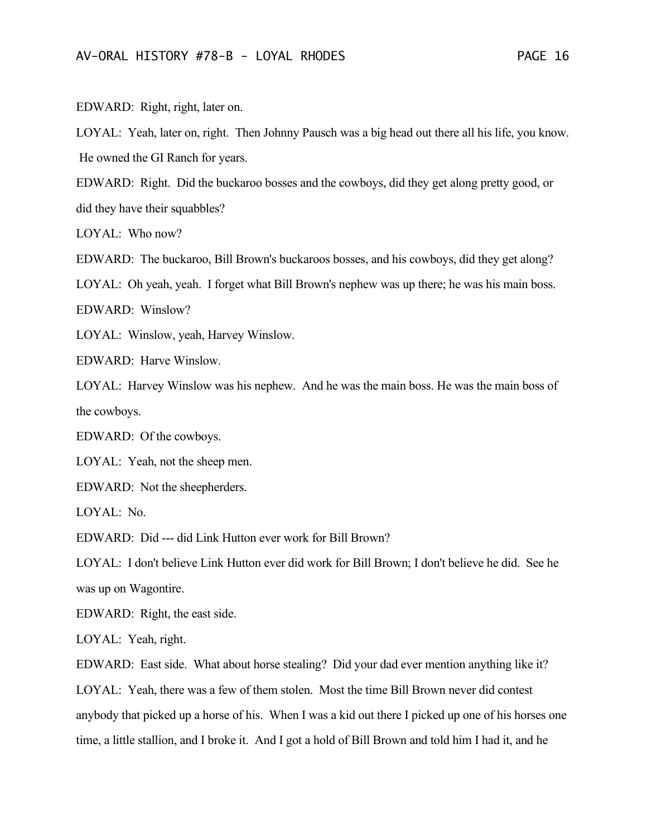EDWARD: Right, right, later on.

LOYAL: Yeah, later on, right. Then Johnny Pausch was a big head out there all his life, you know. He owned the GI Ranch for years.

EDWARD: Right. Did the buckaroo bosses and the cowboys, did they get along pretty good, or did they have their squabbles?

LOYAL: Who now?

EDWARD: The buckaroo, Bill Brown's buckaroos bosses, and his cowboys, did they get along?

LOYAL: Oh yeah, yeah. I forget what Bill Brown's nephew was up there; he was his main boss.

EDWARD: Winslow?

LOYAL: Winslow, yeah, Harvey Winslow.

EDWARD: Harve Winslow.

LOYAL: Harvey Winslow was his nephew. And he was the main boss. He was the main boss of the cowboys.

EDWARD: Of the cowboys.

LOYAL: Yeah, not the sheep men.

EDWARD: Not the sheepherders.

LOYAL: No.

EDWARD: Did --- did Link Hutton ever work for Bill Brown?

LOYAL: I don't believe Link Hutton ever did work for Bill Brown; I don't believe he did. See he was up on Wagontire.

EDWARD: Right, the east side.

LOYAL: Yeah, right.

EDWARD: East side. What about horse stealing? Did your dad ever mention anything like it?

LOYAL: Yeah, there was a few of them stolen. Most the time Bill Brown never did contest anybody that picked up a horse of his. When I was a kid out there I picked up one of his horses one time, a little stallion, and I broke it. And I got a hold of Bill Brown and told him I had it, and he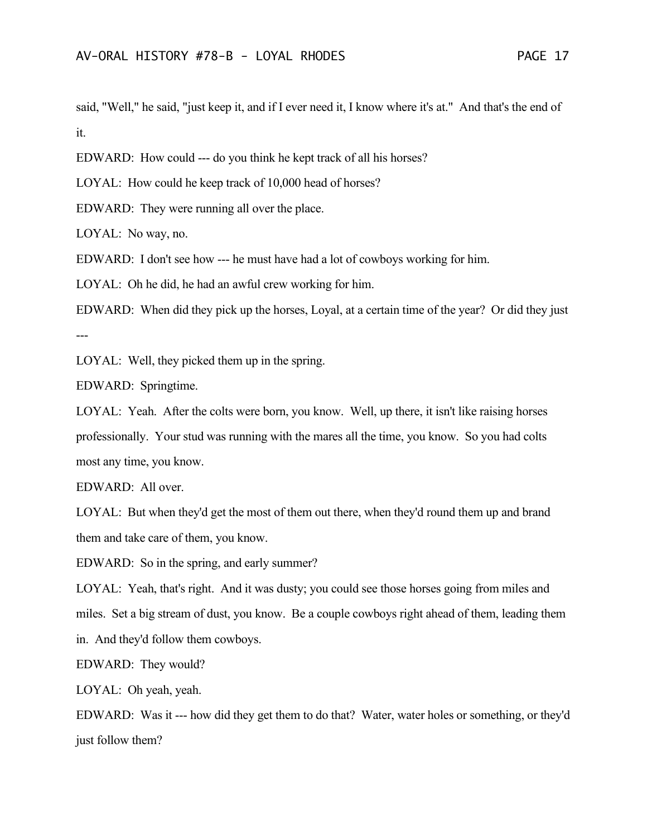said, "Well," he said, "just keep it, and if I ever need it, I know where it's at." And that's the end of it.

EDWARD: How could --- do you think he kept track of all his horses?

LOYAL: How could he keep track of 10,000 head of horses?

EDWARD: They were running all over the place.

LOYAL: No way, no.

EDWARD: I don't see how --- he must have had a lot of cowboys working for him.

LOYAL: Oh he did, he had an awful crew working for him.

EDWARD: When did they pick up the horses, Loyal, at a certain time of the year? Or did they just ---

LOYAL: Well, they picked them up in the spring.

EDWARD: Springtime.

LOYAL: Yeah. After the colts were born, you know. Well, up there, it isn't like raising horses professionally. Your stud was running with the mares all the time, you know. So you had colts most any time, you know.

EDWARD: All over.

LOYAL: But when they'd get the most of them out there, when they'd round them up and brand them and take care of them, you know.

EDWARD: So in the spring, and early summer?

LOYAL: Yeah, that's right. And it was dusty; you could see those horses going from miles and miles. Set a big stream of dust, you know. Be a couple cowboys right ahead of them, leading them in. And they'd follow them cowboys.

EDWARD: They would?

LOYAL: Oh yeah, yeah.

EDWARD: Was it --- how did they get them to do that? Water, water holes or something, or they'd just follow them?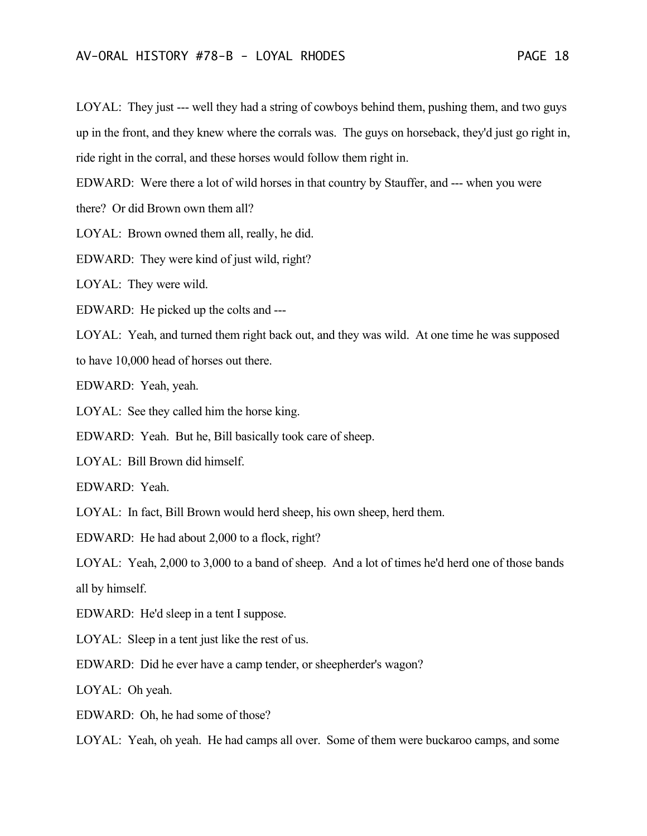LOYAL: They just --- well they had a string of cowboys behind them, pushing them, and two guys up in the front, and they knew where the corrals was. The guys on horseback, they'd just go right in, ride right in the corral, and these horses would follow them right in.

EDWARD: Were there a lot of wild horses in that country by Stauffer, and --- when you were

there? Or did Brown own them all?

LOYAL: Brown owned them all, really, he did.

EDWARD: They were kind of just wild, right?

LOYAL: They were wild.

EDWARD: He picked up the colts and ---

LOYAL: Yeah, and turned them right back out, and they was wild. At one time he was supposed

to have 10,000 head of horses out there.

EDWARD: Yeah, yeah.

LOYAL: See they called him the horse king.

EDWARD: Yeah. But he, Bill basically took care of sheep.

LOYAL: Bill Brown did himself.

EDWARD: Yeah.

LOYAL: In fact, Bill Brown would herd sheep, his own sheep, herd them.

EDWARD: He had about 2,000 to a flock, right?

LOYAL: Yeah, 2,000 to 3,000 to a band of sheep. And a lot of times he'd herd one of those bands all by himself.

EDWARD: He'd sleep in a tent I suppose.

LOYAL: Sleep in a tent just like the rest of us.

EDWARD: Did he ever have a camp tender, or sheepherder's wagon?

LOYAL: Oh yeah.

EDWARD: Oh, he had some of those?

LOYAL: Yeah, oh yeah. He had camps all over. Some of them were buckaroo camps, and some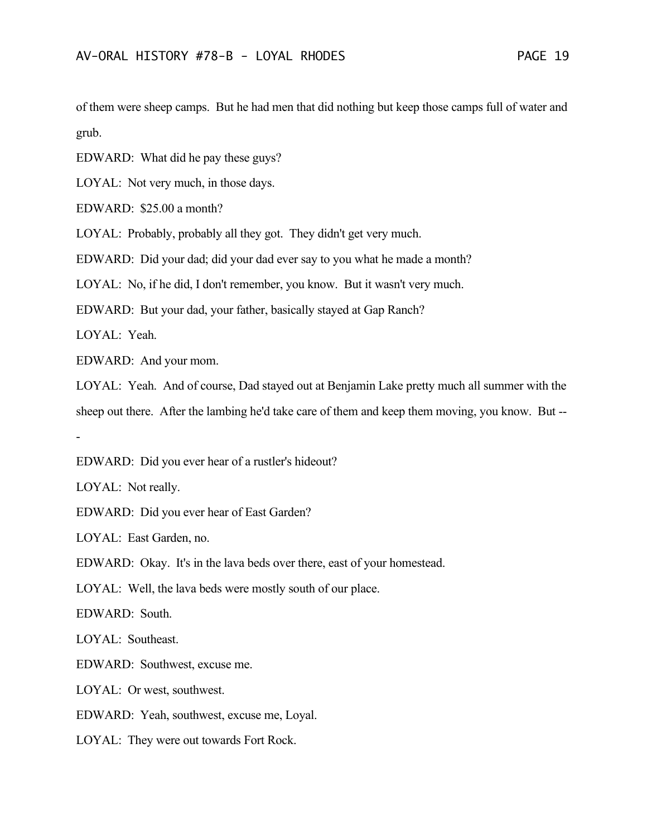of them were sheep camps. But he had men that did nothing but keep those camps full of water and grub.

EDWARD: What did he pay these guys?

LOYAL: Not very much, in those days.

EDWARD: \$25.00 a month?

LOYAL: Probably, probably all they got. They didn't get very much.

EDWARD: Did your dad; did your dad ever say to you what he made a month?

LOYAL: No, if he did, I don't remember, you know. But it wasn't very much.

EDWARD: But your dad, your father, basically stayed at Gap Ranch?

LOYAL: Yeah.

EDWARD: And your mom.

LOYAL: Yeah. And of course, Dad stayed out at Benjamin Lake pretty much all summer with the sheep out there. After the lambing he'd take care of them and keep them moving, you know. But -- -

EDWARD: Did you ever hear of a rustler's hideout?

LOYAL: Not really.

EDWARD: Did you ever hear of East Garden?

LOYAL: East Garden, no.

EDWARD: Okay. It's in the lava beds over there, east of your homestead.

LOYAL: Well, the lava beds were mostly south of our place.

EDWARD: South.

LOYAL: Southeast.

EDWARD: Southwest, excuse me.

LOYAL: Or west, southwest.

EDWARD: Yeah, southwest, excuse me, Loyal.

LOYAL: They were out towards Fort Rock.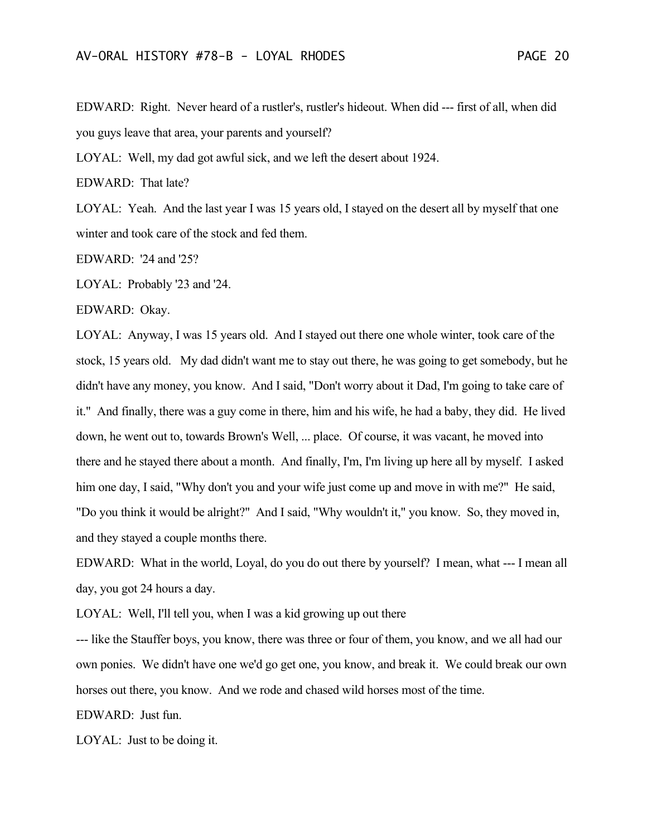EDWARD: Right. Never heard of a rustler's, rustler's hideout. When did --- first of all, when did you guys leave that area, your parents and yourself?

LOYAL: Well, my dad got awful sick, and we left the desert about 1924.

EDWARD: That late?

LOYAL: Yeah. And the last year I was 15 years old, I stayed on the desert all by myself that one winter and took care of the stock and fed them.

EDWARD: '24 and '25?

LOYAL: Probably '23 and '24.

EDWARD: Okay.

LOYAL: Anyway, I was 15 years old. And I stayed out there one whole winter, took care of the stock, 15 years old. My dad didn't want me to stay out there, he was going to get somebody, but he didn't have any money, you know. And I said, "Don't worry about it Dad, I'm going to take care of it." And finally, there was a guy come in there, him and his wife, he had a baby, they did. He lived down, he went out to, towards Brown's Well, ... place. Of course, it was vacant, he moved into there and he stayed there about a month. And finally, I'm, I'm living up here all by myself. I asked him one day, I said, "Why don't you and your wife just come up and move in with me?" He said, "Do you think it would be alright?" And I said, "Why wouldn't it," you know. So, they moved in, and they stayed a couple months there.

EDWARD: What in the world, Loyal, do you do out there by yourself? I mean, what --- I mean all day, you got 24 hours a day.

LOYAL: Well, I'll tell you, when I was a kid growing up out there

--- like the Stauffer boys, you know, there was three or four of them, you know, and we all had our own ponies. We didn't have one we'd go get one, you know, and break it. We could break our own horses out there, you know. And we rode and chased wild horses most of the time.

EDWARD: Just fun.

LOYAL: Just to be doing it.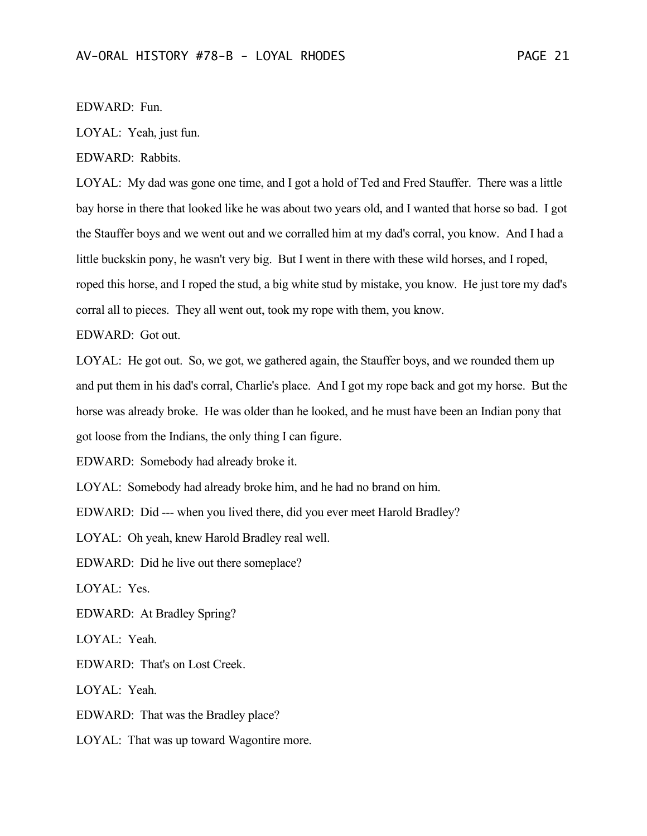## EDWARD: Fun.

LOYAL: Yeah, just fun.

EDWARD: Rabbits.

LOYAL: My dad was gone one time, and I got a hold of Ted and Fred Stauffer. There was a little bay horse in there that looked like he was about two years old, and I wanted that horse so bad. I got the Stauffer boys and we went out and we corralled him at my dad's corral, you know. And I had a little buckskin pony, he wasn't very big. But I went in there with these wild horses, and I roped, roped this horse, and I roped the stud, a big white stud by mistake, you know. He just tore my dad's corral all to pieces. They all went out, took my rope with them, you know.

EDWARD: Got out.

LOYAL: He got out. So, we got, we gathered again, the Stauffer boys, and we rounded them up and put them in his dad's corral, Charlie's place. And I got my rope back and got my horse. But the horse was already broke. He was older than he looked, and he must have been an Indian pony that got loose from the Indians, the only thing I can figure.

EDWARD: Somebody had already broke it.

LOYAL: Somebody had already broke him, and he had no brand on him.

EDWARD: Did --- when you lived there, did you ever meet Harold Bradley?

LOYAL: Oh yeah, knew Harold Bradley real well.

EDWARD: Did he live out there someplace?

LOYAL: Yes.

EDWARD: At Bradley Spring?

LOYAL: Yeah.

EDWARD: That's on Lost Creek.

LOYAL: Yeah.

EDWARD: That was the Bradley place?

LOYAL: That was up toward Wagontire more.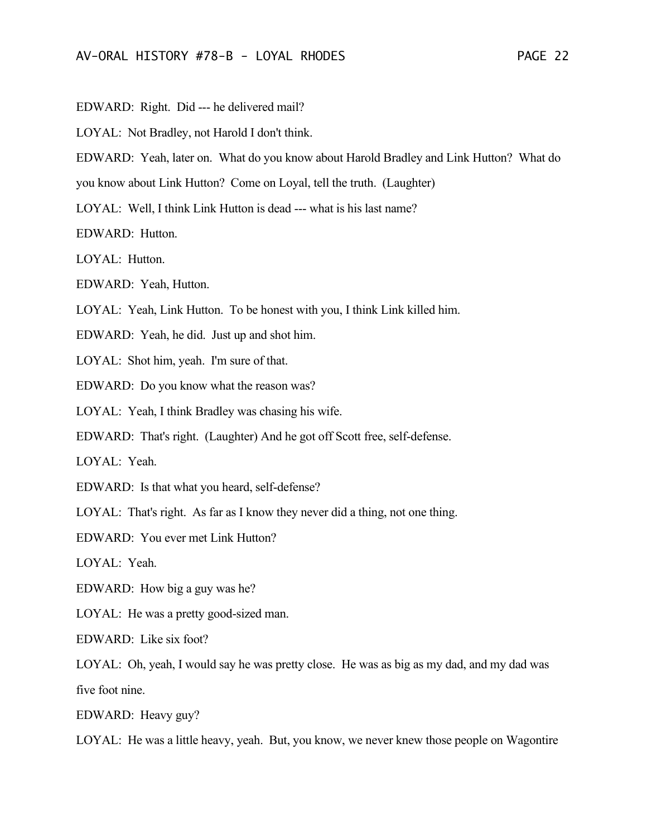EDWARD: Right. Did --- he delivered mail?

LOYAL: Not Bradley, not Harold I don't think.

EDWARD: Yeah, later on. What do you know about Harold Bradley and Link Hutton? What do

you know about Link Hutton? Come on Loyal, tell the truth. (Laughter)

LOYAL: Well, I think Link Hutton is dead --- what is his last name?

EDWARD: Hutton.

LOYAL: Hutton.

EDWARD: Yeah, Hutton.

LOYAL: Yeah, Link Hutton. To be honest with you, I think Link killed him.

EDWARD: Yeah, he did. Just up and shot him.

LOYAL: Shot him, yeah. I'm sure of that.

EDWARD: Do you know what the reason was?

LOYAL: Yeah, I think Bradley was chasing his wife.

EDWARD: That's right. (Laughter) And he got off Scott free, self-defense.

LOYAL: Yeah.

EDWARD: Is that what you heard, self-defense?

LOYAL: That's right. As far as I know they never did a thing, not one thing.

EDWARD: You ever met Link Hutton?

LOYAL: Yeah.

EDWARD: How big a guy was he?

LOYAL: He was a pretty good-sized man.

EDWARD: Like six foot?

LOYAL: Oh, yeah, I would say he was pretty close. He was as big as my dad, and my dad was five foot nine.

EDWARD: Heavy guy?

LOYAL: He was a little heavy, yeah. But, you know, we never knew those people on Wagontire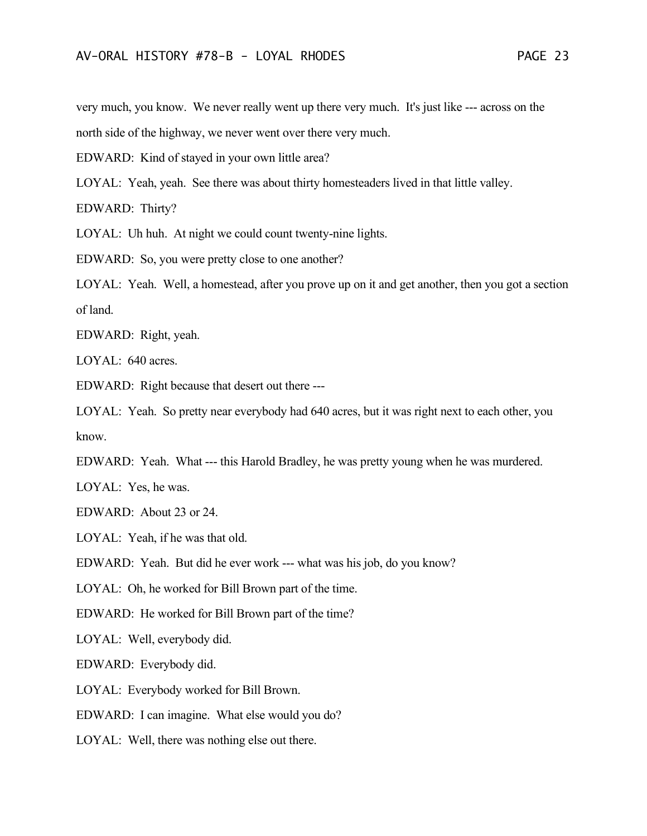very much, you know. We never really went up there very much. It's just like --- across on the north side of the highway, we never went over there very much.

EDWARD: Kind of stayed in your own little area?

LOYAL: Yeah, yeah. See there was about thirty homesteaders lived in that little valley.

EDWARD: Thirty?

LOYAL: Uh huh. At night we could count twenty-nine lights.

EDWARD: So, you were pretty close to one another?

LOYAL: Yeah. Well, a homestead, after you prove up on it and get another, then you got a section of land.

EDWARD: Right, yeah.

LOYAL: 640 acres.

EDWARD: Right because that desert out there ---

LOYAL: Yeah. So pretty near everybody had 640 acres, but it was right next to each other, you know.

EDWARD: Yeah. What --- this Harold Bradley, he was pretty young when he was murdered.

LOYAL: Yes, he was.

EDWARD: About 23 or 24.

LOYAL: Yeah, if he was that old.

EDWARD: Yeah. But did he ever work --- what was his job, do you know?

LOYAL: Oh, he worked for Bill Brown part of the time.

EDWARD: He worked for Bill Brown part of the time?

LOYAL: Well, everybody did.

EDWARD: Everybody did.

LOYAL: Everybody worked for Bill Brown.

EDWARD: I can imagine. What else would you do?

LOYAL: Well, there was nothing else out there.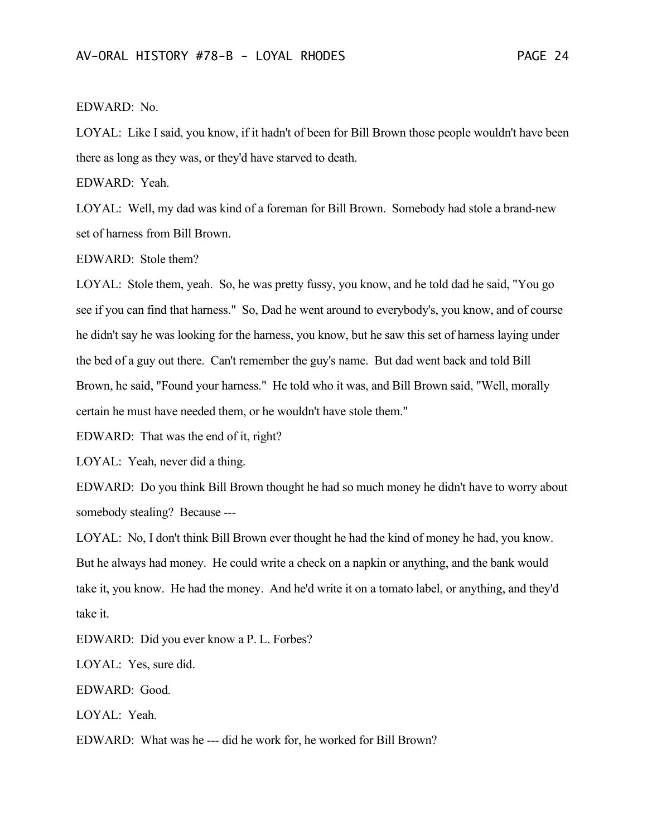## EDWARD: No.

LOYAL: Like I said, you know, if it hadn't of been for Bill Brown those people wouldn't have been there as long as they was, or they'd have starved to death.

EDWARD: Yeah.

LOYAL: Well, my dad was kind of a foreman for Bill Brown. Somebody had stole a brand-new set of harness from Bill Brown.

EDWARD: Stole them?

LOYAL: Stole them, yeah. So, he was pretty fussy, you know, and he told dad he said, "You go see if you can find that harness." So, Dad he went around to everybody's, you know, and of course he didn't say he was looking for the harness, you know, but he saw this set of harness laying under the bed of a guy out there. Can't remember the guy's name. But dad went back and told Bill Brown, he said, "Found your harness." He told who it was, and Bill Brown said, "Well, morally certain he must have needed them, or he wouldn't have stole them."

EDWARD: That was the end of it, right?

LOYAL: Yeah, never did a thing.

EDWARD: Do you think Bill Brown thought he had so much money he didn't have to worry about somebody stealing? Because ---

LOYAL: No, I don't think Bill Brown ever thought he had the kind of money he had, you know. But he always had money. He could write a check on a napkin or anything, and the bank would take it, you know. He had the money. And he'd write it on a tomato label, or anything, and they'd take it.

EDWARD: Did you ever know a P. L. Forbes?

LOYAL: Yes, sure did.

EDWARD: Good.

LOYAL: Yeah.

EDWARD: What was he --- did he work for, he worked for Bill Brown?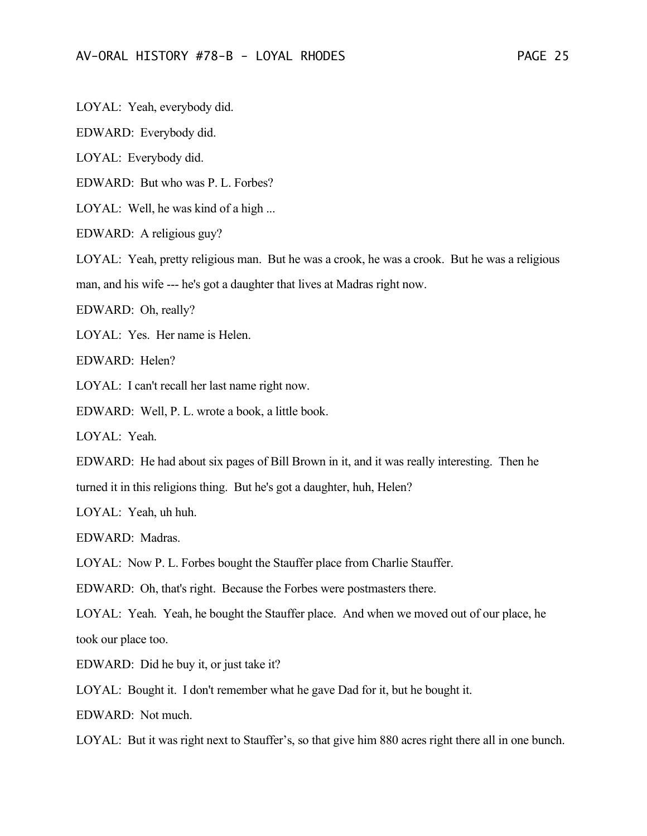LOYAL: Yeah, everybody did.

EDWARD: Everybody did.

LOYAL: Everybody did.

EDWARD: But who was P. L. Forbes?

LOYAL: Well, he was kind of a high ...

EDWARD: A religious guy?

LOYAL: Yeah, pretty religious man. But he was a crook, he was a crook. But he was a religious

man, and his wife --- he's got a daughter that lives at Madras right now.

EDWARD: Oh, really?

LOYAL: Yes. Her name is Helen.

EDWARD: Helen?

LOYAL: I can't recall her last name right now.

EDWARD: Well, P. L. wrote a book, a little book.

LOYAL: Yeah.

EDWARD: He had about six pages of Bill Brown in it, and it was really interesting. Then he

turned it in this religions thing. But he's got a daughter, huh, Helen?

LOYAL: Yeah, uh huh.

EDWARD: Madras.

LOYAL: Now P. L. Forbes bought the Stauffer place from Charlie Stauffer.

EDWARD: Oh, that's right. Because the Forbes were postmasters there.

LOYAL: Yeah. Yeah, he bought the Stauffer place. And when we moved out of our place, he took our place too.

EDWARD: Did he buy it, or just take it?

LOYAL: Bought it. I don't remember what he gave Dad for it, but he bought it.

EDWARD: Not much.

LOYAL: But it was right next to Stauffer's, so that give him 880 acres right there all in one bunch.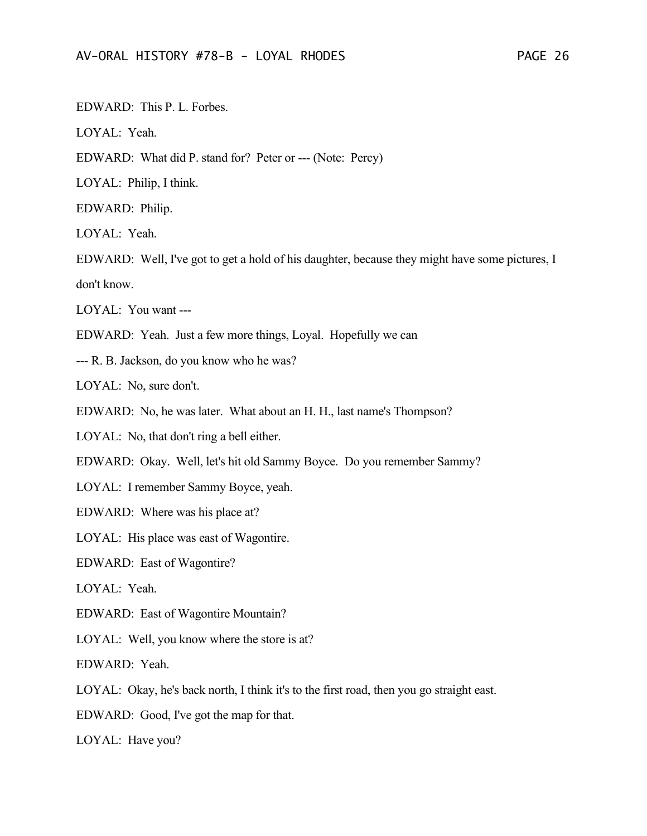EDWARD: This P. L. Forbes.

LOYAL: Yeah.

EDWARD: What did P. stand for? Peter or --- (Note: Percy)

LOYAL: Philip, I think.

EDWARD: Philip.

LOYAL: Yeah.

EDWARD: Well, I've got to get a hold of his daughter, because they might have some pictures, I don't know.

LOYAL: You want ---

EDWARD: Yeah. Just a few more things, Loyal. Hopefully we can

--- R. B. Jackson, do you know who he was?

LOYAL: No, sure don't.

EDWARD: No, he was later. What about an H. H., last name's Thompson?

LOYAL: No, that don't ring a bell either.

EDWARD: Okay. Well, let's hit old Sammy Boyce. Do you remember Sammy?

LOYAL: I remember Sammy Boyce, yeah.

EDWARD: Where was his place at?

LOYAL: His place was east of Wagontire.

EDWARD: East of Wagontire?

LOYAL: Yeah.

EDWARD: East of Wagontire Mountain?

LOYAL: Well, you know where the store is at?

EDWARD: Yeah.

LOYAL: Okay, he's back north, I think it's to the first road, then you go straight east.

EDWARD: Good, I've got the map for that.

LOYAL: Have you?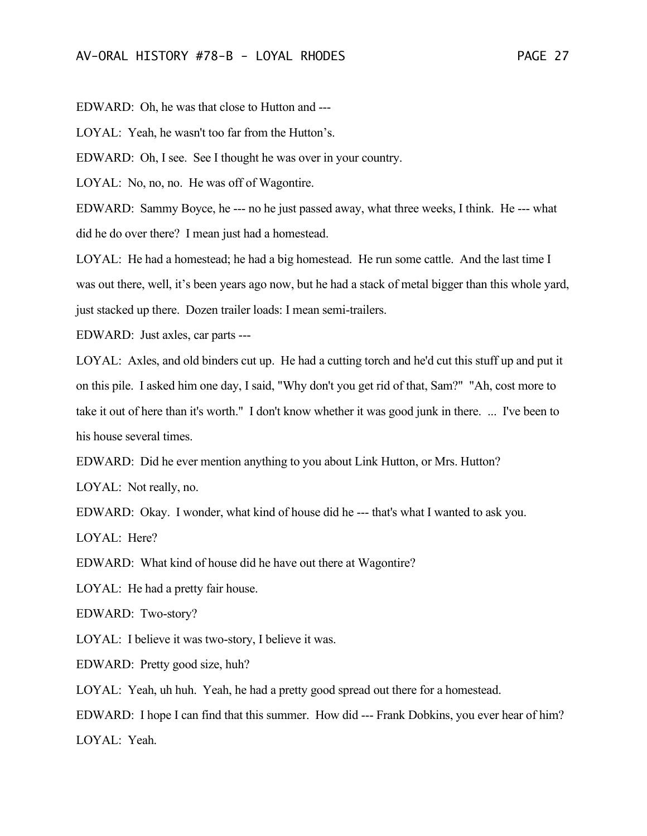EDWARD: Oh, he was that close to Hutton and ---

LOYAL: Yeah, he wasn't too far from the Hutton's.

EDWARD: Oh, I see. See I thought he was over in your country.

LOYAL: No, no, no. He was off of Wagontire.

EDWARD: Sammy Boyce, he --- no he just passed away, what three weeks, I think. He --- what did he do over there? I mean just had a homestead.

LOYAL: He had a homestead; he had a big homestead. He run some cattle. And the last time I was out there, well, it's been years ago now, but he had a stack of metal bigger than this whole yard, just stacked up there. Dozen trailer loads: I mean semi-trailers.

EDWARD: Just axles, car parts ---

LOYAL: Axles, and old binders cut up. He had a cutting torch and he'd cut this stuff up and put it on this pile. I asked him one day, I said, "Why don't you get rid of that, Sam?" "Ah, cost more to take it out of here than it's worth." I don't know whether it was good junk in there. ... I've been to his house several times.

EDWARD: Did he ever mention anything to you about Link Hutton, or Mrs. Hutton?

LOYAL: Not really, no.

EDWARD: Okay. I wonder, what kind of house did he --- that's what I wanted to ask you.

LOYAL: Here?

EDWARD: What kind of house did he have out there at Wagontire?

LOYAL: He had a pretty fair house.

EDWARD: Two-story?

LOYAL: I believe it was two-story, I believe it was.

EDWARD: Pretty good size, huh?

LOYAL: Yeah, uh huh. Yeah, he had a pretty good spread out there for a homestead.

EDWARD: I hope I can find that this summer. How did --- Frank Dobkins, you ever hear of him? LOYAL: Yeah.